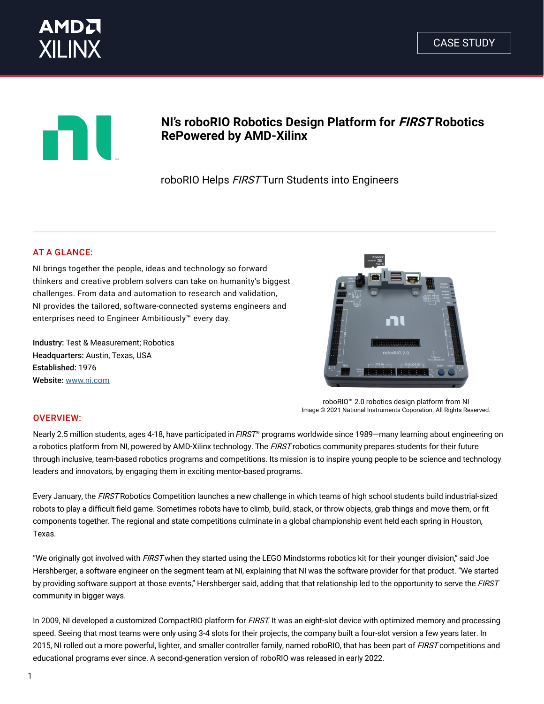



# **NI's roboRIO Robotics Design Platform for FIRST Robotics RePowered by AMD-Xilinx**

roboRIO Helps FIRST Turn Students into Engineers

# AT A GLANCE:

NI brings together the people, ideas and technology so forward thinkers and creative problem solvers can take on humanity's biggest challenges. From data and automation to research and validation, NI provides the tailored, software-connected systems engineers and enterprises need to Engineer Ambitiously™ every day.

Industry: Test & Measurement; Robotics Headquarters: Austin, Texas, USA Established: 1976 Website: [www.ni.com](https://www.ni.com)



roboRIO™ 2.0 robotics design platform from NI Image © 2021 National Instruments Coporation. All Rights Reserved.

## OVERVIEW:

Nearly 2.5 million students, ages 4-18, have participated in *FIRST®* programs worldwide since 1989—many learning about engineering on a robotics platform from NI, powered by AMD-Xilinx technology. The FIRST robotics community prepares students for their future through inclusive, team-based robotics programs and competitions. Its mission is to inspire young people to be science and technology leaders and innovators, by engaging them in exciting mentor-based programs.

Every January, the FIRST Robotics Competition launches a new challenge in which teams of high school students build industrial-sized robots to play a difficult field game. Sometimes robots have to climb, build, stack, or throw objects, grab things and move them, or fit components together. The regional and state competitions culminate in a global championship event held each spring in Houston, Texas.

"We originally got involved with FIRST when they started using the LEGO Mindstorms robotics kit for their younger division," said Joe Hershberger, a software engineer on the segment team at NI, explaining that NI was the software provider for that product. "We started by providing software support at those events," Hershberger said, adding that that relationship led to the opportunity to serve the FIRST community in bigger ways.

In 2009, NI developed a customized CompactRIO platform for FIRST. It was an eight-slot device with optimized memory and processing speed. Seeing that most teams were only using 3-4 slots for their projects, the company built a four-slot version a few years later. In 2015, NI rolled out a more powerful, lighter, and smaller controller family, named roboRIO, that has been part of FIRST competitions and educational programs ever since. A second-generation version of roboRIO was released in early 2022.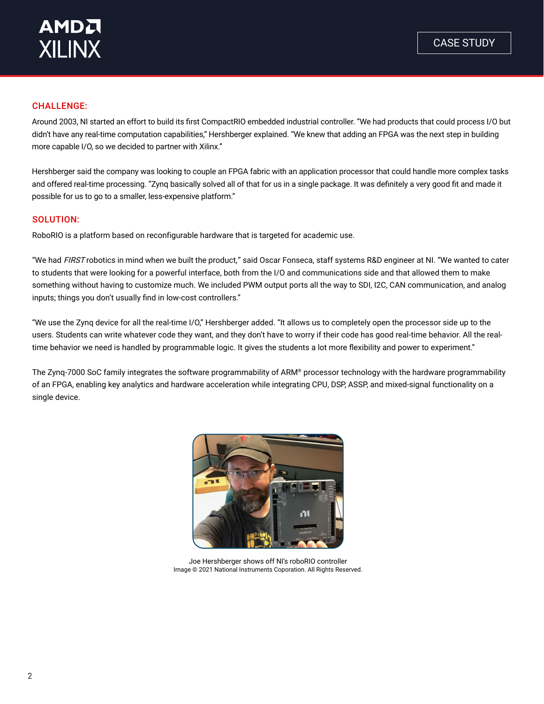#### CHALLENGE:

Around 2003, NI started an effort to build its first CompactRIO embedded industrial controller. "We had products that could process I/O but didn't have any real-time computation capabilities," Hershberger explained. "We knew that adding an FPGA was the next step in building more capable I/O, so we decided to partner with Xilinx."

Hershberger said the company was looking to couple an FPGA fabric with an application processor that could handle more complex tasks and offered real-time processing. "Zynq basically solved all of that for us in a single package. It was definitely a very good fit and made it possible for us to go to a smaller, less-expensive platform."

#### SOLUTION:

RoboRIO is a platform based on reconfigurable hardware that is targeted for academic use.

"We had FIRST robotics in mind when we built the product," said Oscar Fonseca, staff systems R&D engineer at NI. "We wanted to cater to students that were looking for a powerful interface, both from the I/O and communications side and that allowed them to make something without having to customize much. We included PWM output ports all the way to SDI, I2C, CAN communication, and analog inputs; things you don't usually find in low-cost controllers."

"We use the Zynq device for all the real-time I/O," Hershberger added. "It allows us to completely open the processor side up to the users. Students can write whatever code they want, and they don't have to worry if their code has good real-time behavior. All the realtime behavior we need is handled by programmable logic. It gives the students a lot more flexibility and power to experiment."

The Zynq-7000 SoC family integrates the software programmability of ARM® processor technology with the hardware programmability of an FPGA, enabling key analytics and hardware acceleration while integrating CPU, DSP, ASSP, and mixed-signal functionality on a single device.



Joe Hershberger shows off NI's roboRIO controller Image © 2021 National Instruments Coporation. All Rights Reserved.